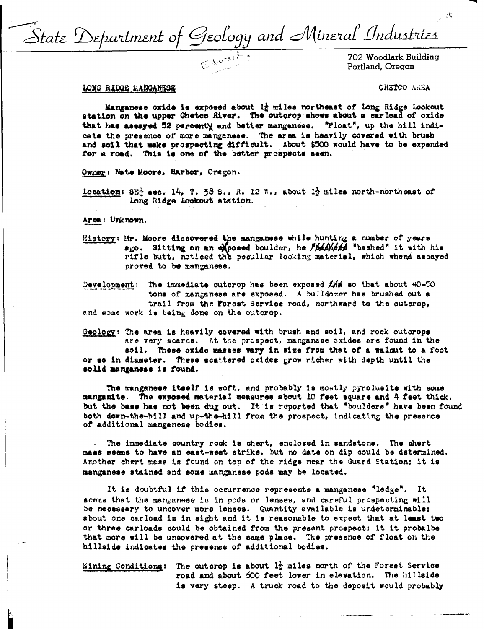State Department of Geology and Mineral Industries

Portland, Oregon

## LONG RIDGE MANGANESE

CHETCO AREA

Manganese oxide is exposed about 12 miles northeast of long Ridge lookout station on the upper Chetco River. The outcrop shows about a carload of oxide that has assayed 52 percenty and better manganese. "Float", up the hill indicate the presence of more manganese. The area is heavily covered with brush and soil that make prospecting difficult. About \$500 would have to be expended for a road. This is one of the better prospects seen.

Owner: Nate Moore, Harbor, Oregon.

Location: 8E<sup>3</sup> sec. 14, T. 38 S., R. 12 W., about 1 $\frac{1}{2}$  miles north-northeast of Long Ridge Lookout station.

Area: Unknown.

History: Mr. Moore discovered the manganese while hunting a number of years ago. Sitting on an exposed boulder, he *ibashesa* "bashed" it with his rifle butt, noticed the peculiar looking material, which whena assayed proved to be manganese.

The immediate outcrop has been exposed  $\sharp M$  so that about 40-50 Development: tons of manganese are exposed. A bulldozer has brushed out a trail from the Forest Service road, northward to the outcrop, and some work is being done on the outcrop.

Geology: The area is heavily covered with brush and soil, and rock outcrops are very scarce. At the prospect, manganese exides are found in the soil. These oxide masses vary in size from that of a walnut to a foot or so in diameter. These scattered oxides grow richer with depth until the solid manganese is found.

The manganese itself is soft, and probably is mostly pyrolusite with some manganite. The exposed material measures about 10 feet square and 4 feet thick, but the base has not been dug out. It is reported that "boulders" have been found both down-the-hill and up-the-hill from the prospect, indicating the presence of additional manganese bodies.

. The immediate country rock is chert, enclosed in sandstone. The chert mass seems to have an east-west strike, but no date on dip could be determined. Another chert mass is found on top of the ridge near the Guard Station; it is manganese stained and some manganese pods may be located.

It is doubtful if this occurrence represents a manganese "ledge". It seems that the manganese is in pods or lenses, and careful prospecting will be necessary to uncover more lenses. Quantity available is undeterminable; about one carload is in sight and it is reasonable to expect that at least two or three carloads could be obtained from the present prospect; it it probalbe that more will be uncovered at the same place. The presence of float on the hillside indicates the presence of additional bodies.

Mining Conditions: The outcrop is about  $l_2^1$  miles north of the Forest Service road and about 600 feet lower in elevation. The hillside is very steep. A truck road to the deposit would probably